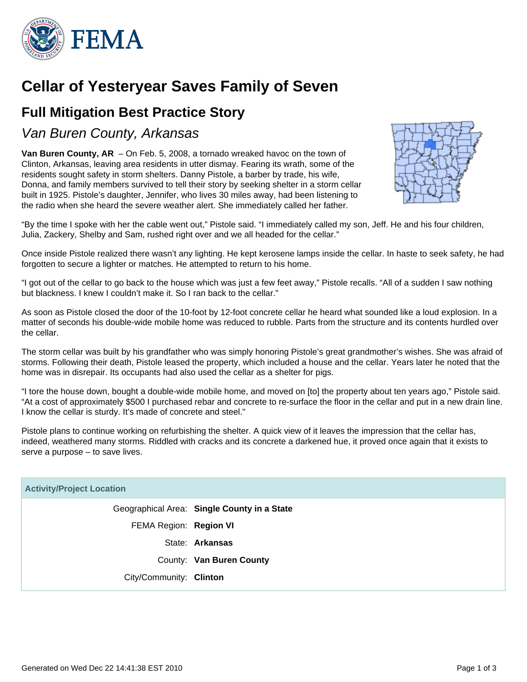

# **Cellar of Yesteryear Saves Family of Seven**

## **Full Mitigation Best Practice Story**

Van Buren County, Arkansas

**Van Buren County, AR** – On Feb. 5, 2008, a tornado wreaked havoc on the town of Clinton, Arkansas, leaving area residents in utter dismay. Fearing its wrath, some of the residents sought safety in storm shelters. Danny Pistole, a barber by trade, his wife, Donna, and family members survived to tell their story by seeking shelter in a storm cellar built in 1925. Pistole's daughter, Jennifer, who lives 30 miles away, had been listening to the radio when she heard the severe weather alert. She immediately called her father.



"By the time I spoke with her the cable went out," Pistole said. "I immediately called my son, Jeff. He and his four children, Julia, Zackery, Shelby and Sam, rushed right over and we all headed for the cellar."

Once inside Pistole realized there wasn't any lighting. He kept kerosene lamps inside the cellar. In haste to seek safety, he had forgotten to secure a lighter or matches. He attempted to return to his home.

"I got out of the cellar to go back to the house which was just a few feet away," Pistole recalls. "All of a sudden I saw nothing but blackness. I knew I couldn't make it. So I ran back to the cellar."

As soon as Pistole closed the door of the 10-foot by 12-foot concrete cellar he heard what sounded like a loud explosion. In a matter of seconds his double-wide mobile home was reduced to rubble. Parts from the structure and its contents hurdled over the cellar.

The storm cellar was built by his grandfather who was simply honoring Pistole's great grandmother's wishes. She was afraid of storms. Following their death, Pistole leased the property, which included a house and the cellar. Years later he noted that the home was in disrepair. Its occupants had also used the cellar as a shelter for pigs.

"I tore the house down, bought a double-wide mobile home, and moved on [to] the property about ten years ago," Pistole said. "At a cost of approximately \$500 I purchased rebar and concrete to re-surface the floor in the cellar and put in a new drain line. I know the cellar is sturdy. It's made of concrete and steel."

Pistole plans to continue working on refurbishing the shelter. A quick view of it leaves the impression that the cellar has, indeed, weathered many storms. Riddled with cracks and its concrete a darkened hue, it proved once again that it exists to serve a purpose – to save lives.

| <b>Activity/Project Location</b> |                                             |
|----------------------------------|---------------------------------------------|
|                                  | Geographical Area: Single County in a State |
| FEMA Region: Region VI           |                                             |
|                                  | State: Arkansas                             |
|                                  | County: Van Buren County                    |
| City/Community: Clinton          |                                             |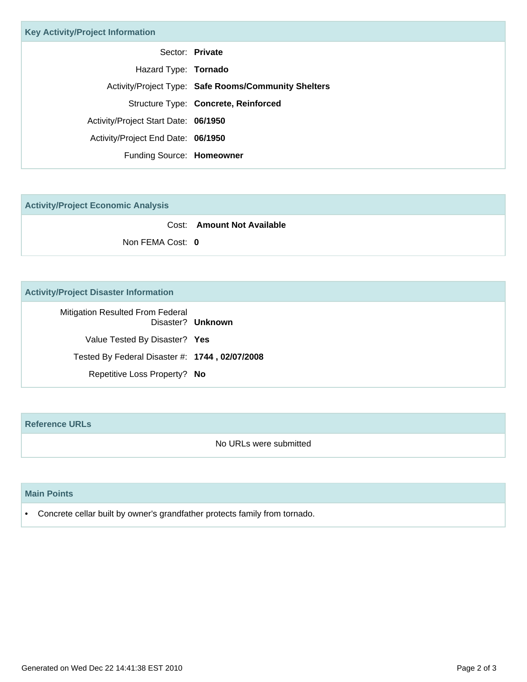| <b>Key Activity/Project Information</b> |                                                      |
|-----------------------------------------|------------------------------------------------------|
|                                         | Sector: Private                                      |
| Hazard Type: Tornado                    |                                                      |
|                                         | Activity/Project Type: Safe Rooms/Community Shelters |
|                                         | Structure Type: Concrete, Reinforced                 |
| Activity/Project Start Date: 06/1950    |                                                      |
| Activity/Project End Date: 06/1950      |                                                      |
| Funding Source: Homeowner               |                                                      |

**Activity/Project Economic Analysis**

|                  | Cost: Amount Not Available |
|------------------|----------------------------|
| Non FEMA Cost: 0 |                            |

### **Activity/Project Disaster Information**

Mitigation Resulted From Federal Disaster? **Unknown** Value Tested By Disaster? **Yes** Tested By Federal Disaster #: **1744 , 02/07/2008** Repetitive Loss Property? **No**

#### **Reference URLs**

No URLs were submitted

#### **Main Points**

• Concrete cellar built by owner's grandfather protects family from tornado.